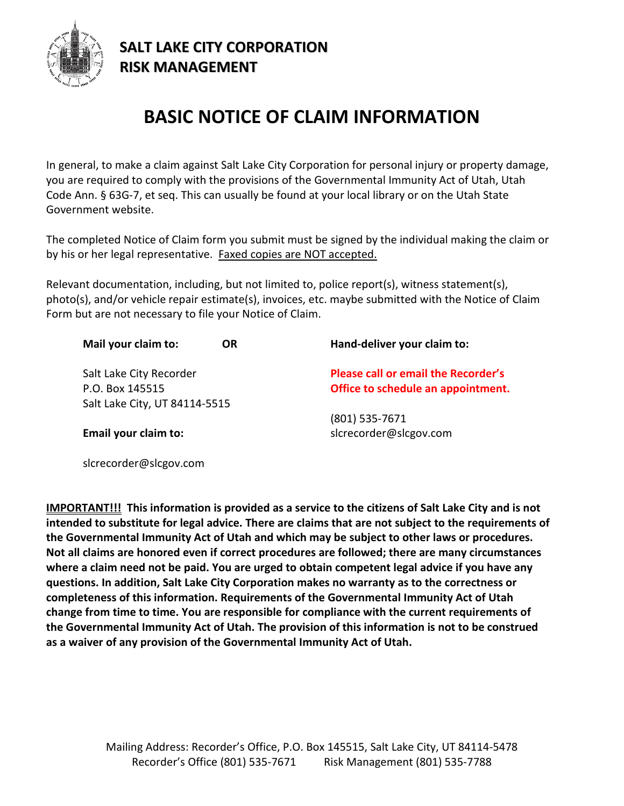

slcrecorder@slcgov.com

## **SALT LAKE CITY CORPORATION RISK MANAGEMENT**

## **BASIC NOTICE OF CLAIM INFORMATION**

In general, to make a claim against Salt Lake City Corporation for personal injury or property damage, you are required to comply with the provisions of the Governmental Immunity Act of Utah, Utah Code Ann. § 63G-7, et seq. This can usually be found at your local library or on the Utah State Government website.

The completed Notice of Claim form you submit must be signed by the individual making the claim or by his or her legal representative. Faxed copies are NOT accepted.

Relevant documentation, including, but not limited to, police report(s), witness statement(s), photo(s), and/or vehicle repair estimate(s), invoices, etc. maybe submitted with the Notice of Claim Form but are not necessary to file your Notice of Claim.

| Mail your claim to:<br><b>OR</b> | Hand-deliver your claim to:                |
|----------------------------------|--------------------------------------------|
| Salt Lake City Recorder          | <b>Please call or email the Recorder's</b> |
| P.O. Box 145515                  | Office to schedule an appointment.         |
| Salt Lake City, UT 84114-5515    |                                            |
|                                  | $(801)$ 535-7671                           |
| Email your claim to:             | slcrecorder@slcgov.com                     |
|                                  |                                            |

**IMPORTANT!!! This information is provided as a service to the citizens of Salt Lake City and is not intended to substitute for legal advice. There are claims that are not subject to the requirements of the Governmental Immunity Act of Utah and which may be subject to other laws or procedures. Not all claims are honored even if correct procedures are followed; there are many circumstances where a claim need not be paid. You are urged to obtain competent legal advice if you have any questions. In addition, Salt Lake City Corporation makes no warranty as to the correctness or completeness of this information. Requirements of the Governmental Immunity Act of Utah change from time to time. You are responsible for compliance with the current requirements of the Governmental Immunity Act of Utah. The provision of this information is not to be construed as a waiver of any provision of the Governmental Immunity Act of Utah.**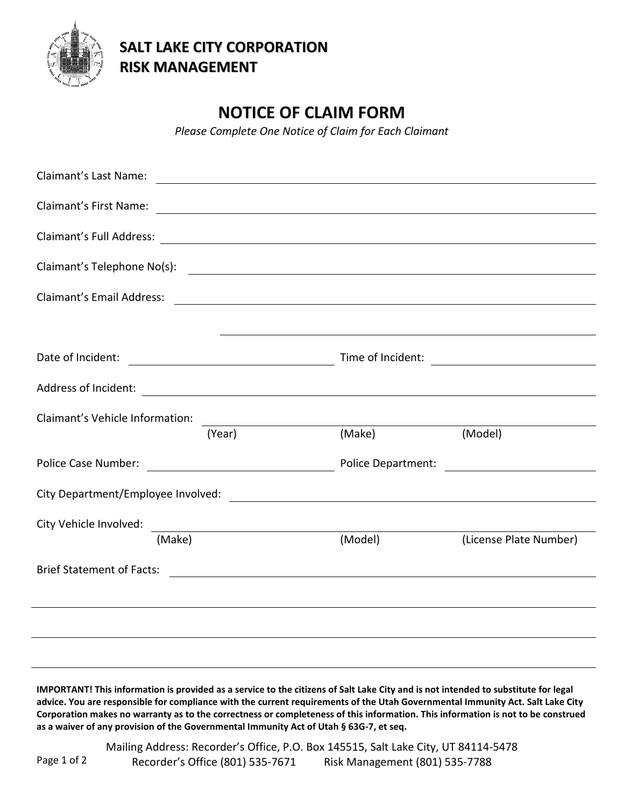

**SALT LAKE CITY CORPORATION RISK MANAGEMENT**

## **NOTICE OF CLAIM FORM**

*Please Complete One Notice of Claim for Each Claimant*

| Claimant's Last Name:            |                                                                |                                                                                                                                                                                                                                |                        |  |
|----------------------------------|----------------------------------------------------------------|--------------------------------------------------------------------------------------------------------------------------------------------------------------------------------------------------------------------------------|------------------------|--|
|                                  |                                                                | Claimant's First Name: 2008 and 2008 and 2008 and 2008 and 2008 and 2008 and 2008 and 2008 and 2008 and 2008 and 2008 and 2008 and 2008 and 2008 and 2008 and 2008 and 2008 and 2008 and 2008 and 2008 and 2008 and 2008 and 2 |                        |  |
|                                  |                                                                |                                                                                                                                                                                                                                |                        |  |
|                                  |                                                                | Claimant's Telephone No(s):                                                                                                                                                                                                    |                        |  |
| <b>Claimant's Email Address:</b> |                                                                | <u> Alexandria de la contrada de la contrada de la contrada de la contrada de la contrada de la contrada de la c</u>                                                                                                           |                        |  |
|                                  |                                                                |                                                                                                                                                                                                                                |                        |  |
|                                  |                                                                |                                                                                                                                                                                                                                |                        |  |
|                                  |                                                                |                                                                                                                                                                                                                                |                        |  |
| Claimant's Vehicle Information:  |                                                                |                                                                                                                                                                                                                                |                        |  |
|                                  | (Year)                                                         | (Make)                                                                                                                                                                                                                         | (Model)                |  |
|                                  |                                                                |                                                                                                                                                                                                                                |                        |  |
|                                  |                                                                |                                                                                                                                                                                                                                |                        |  |
| City Vehicle Involved:           | <u> 1989 - Johann Stein, mars an t-Amerikaansk kommunist (</u> |                                                                                                                                                                                                                                |                        |  |
| (Make)                           |                                                                | (Model)                                                                                                                                                                                                                        | (License Plate Number) |  |
|                                  |                                                                |                                                                                                                                                                                                                                |                        |  |
|                                  |                                                                |                                                                                                                                                                                                                                |                        |  |
|                                  |                                                                |                                                                                                                                                                                                                                |                        |  |
|                                  |                                                                |                                                                                                                                                                                                                                |                        |  |

**IMPORTANT! This information is provided as a service to the citizens of Salt Lake City and is not intended to substitute for legal advice. You are responsible for compliance with the current requirements of the Utah Governmental Immunity Act. Salt Lake City Corporation makes no warranty as to the correctness or completeness of this information. This information is not to be construed as a waiver of any provision of the Governmental Immunity Act of Utah § 63G-7, et seq.**

Mailing Address: Recorder's Office, P.O. Box 145515, Salt Lake City, UT 84114-5478 Recorder's Office (801) 535-7671 Risk Management (801) 535-7788 Page 1 of 2